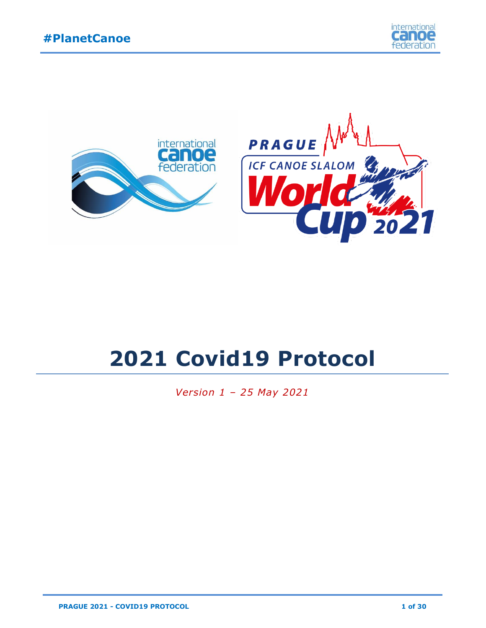



# **2021 Covid19 Protocol**

*Version 1 – 25 May 2021*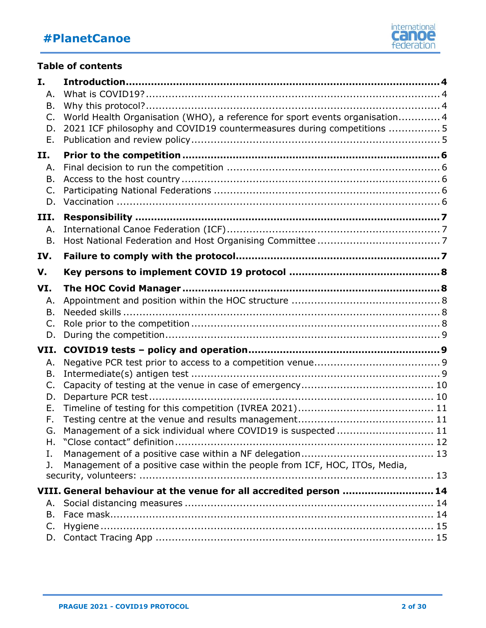

#### **Table of contents**

| I.             |                                                                              |  |
|----------------|------------------------------------------------------------------------------|--|
| Α.             |                                                                              |  |
| Β.             |                                                                              |  |
| $\mathsf{C}$ . | World Health Organisation (WHO), a reference for sport events organisation 4 |  |
| D.             | 2021 ICF philosophy and COVID19 countermeasures during competitions  5       |  |
| Ε.             |                                                                              |  |
| П.             |                                                                              |  |
| Α.             |                                                                              |  |
| B.             |                                                                              |  |
| C.             |                                                                              |  |
| D.             |                                                                              |  |
| III.           |                                                                              |  |
| Α.             |                                                                              |  |
| Β.             |                                                                              |  |
| IV.            |                                                                              |  |
| V.             |                                                                              |  |
| VI.            |                                                                              |  |
| Α.             |                                                                              |  |
| Β.             |                                                                              |  |
| C.             |                                                                              |  |
| D.             |                                                                              |  |
| VII.           |                                                                              |  |
| Α.             |                                                                              |  |
| Β.             |                                                                              |  |
| C.             |                                                                              |  |
| D.             |                                                                              |  |
| Ε.             |                                                                              |  |
| F.             |                                                                              |  |
| G.             | Management of a sick individual where COVID19 is suspected  11               |  |
| Ι.             |                                                                              |  |
| J.             | Management of a positive case within the people from ICF, HOC, ITOs, Media,  |  |
|                |                                                                              |  |
|                | VIII. General behaviour at the venue for all accredited person  14           |  |
| А.             |                                                                              |  |
| B.             |                                                                              |  |
| C.             |                                                                              |  |
|                |                                                                              |  |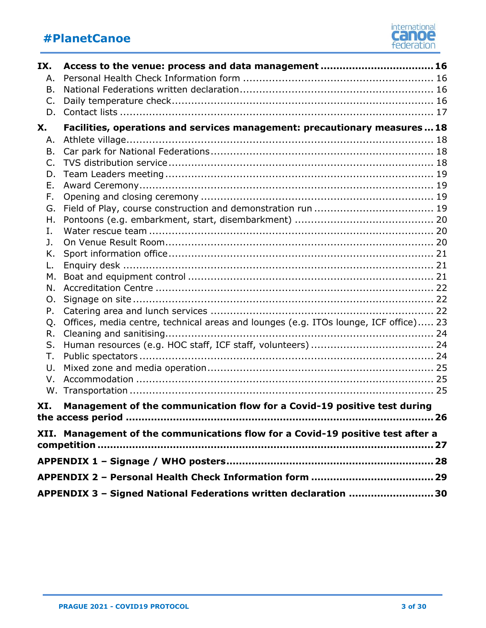

| IX.                                                                             | Access to the venue: process and data management  16                                 |  |  |  |  |  |
|---------------------------------------------------------------------------------|--------------------------------------------------------------------------------------|--|--|--|--|--|
| Α.                                                                              |                                                                                      |  |  |  |  |  |
| Β.                                                                              |                                                                                      |  |  |  |  |  |
| C.                                                                              |                                                                                      |  |  |  |  |  |
| D.                                                                              |                                                                                      |  |  |  |  |  |
| X.                                                                              | Facilities, operations and services management: precautionary measures  18           |  |  |  |  |  |
| Α.                                                                              |                                                                                      |  |  |  |  |  |
| B.                                                                              |                                                                                      |  |  |  |  |  |
| C.                                                                              |                                                                                      |  |  |  |  |  |
| D.                                                                              |                                                                                      |  |  |  |  |  |
| Ε.                                                                              |                                                                                      |  |  |  |  |  |
| F.                                                                              |                                                                                      |  |  |  |  |  |
| G.                                                                              |                                                                                      |  |  |  |  |  |
| Η.                                                                              |                                                                                      |  |  |  |  |  |
| Ι.                                                                              |                                                                                      |  |  |  |  |  |
| J.                                                                              |                                                                                      |  |  |  |  |  |
| Κ.                                                                              |                                                                                      |  |  |  |  |  |
| L.                                                                              |                                                                                      |  |  |  |  |  |
| М.                                                                              |                                                                                      |  |  |  |  |  |
| N.                                                                              |                                                                                      |  |  |  |  |  |
| Ο.                                                                              |                                                                                      |  |  |  |  |  |
| Ρ.                                                                              |                                                                                      |  |  |  |  |  |
| Q.                                                                              | Offices, media centre, technical areas and lounges (e.g. ITOs lounge, ICF office) 23 |  |  |  |  |  |
| R.                                                                              |                                                                                      |  |  |  |  |  |
| S.                                                                              |                                                                                      |  |  |  |  |  |
| Τ.                                                                              |                                                                                      |  |  |  |  |  |
| U.                                                                              |                                                                                      |  |  |  |  |  |
| V.                                                                              |                                                                                      |  |  |  |  |  |
| W.                                                                              |                                                                                      |  |  |  |  |  |
| XI.                                                                             | Management of the communication flow for a Covid-19 positive test during             |  |  |  |  |  |
|                                                                                 |                                                                                      |  |  |  |  |  |
| XII. Management of the communications flow for a Covid-19 positive test after a |                                                                                      |  |  |  |  |  |
|                                                                                 |                                                                                      |  |  |  |  |  |
|                                                                                 |                                                                                      |  |  |  |  |  |
|                                                                                 |                                                                                      |  |  |  |  |  |
|                                                                                 | APPENDIX 3 - Signed National Federations written declaration  30                     |  |  |  |  |  |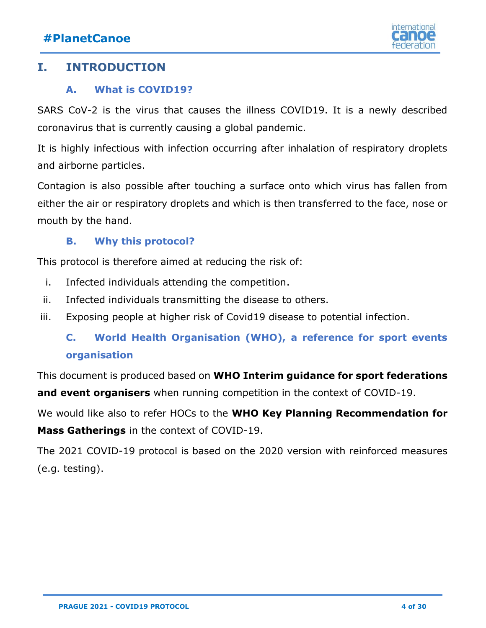

### <span id="page-3-1"></span><span id="page-3-0"></span>**I. INTRODUCTION**

#### **A. What is COVID19?**

SARS CoV-2 is the virus that causes the illness COVID19. It is a newly described coronavirus that is currently causing a global pandemic.

It is highly infectious with infection occurring after inhalation of respiratory droplets and airborne particles.

Contagion is also possible after touching a surface onto which virus has fallen from either the air or respiratory droplets and which is then transferred to the face, nose or mouth by the hand.

#### **B. Why this protocol?**

<span id="page-3-2"></span>This protocol is therefore aimed at reducing the risk of:

- i. Infected individuals attending the competition.
- ii. Infected individuals transmitting the disease to others.
- <span id="page-3-3"></span>iii. Exposing people at higher risk of Covid19 disease to potential infection.

### **C. World Health Organisation (WHO), a reference for sport events organisation**

This document is produced based on **[WHO Interim guidance](https://apps.who.int/iris/bitstream/handle/10665/331764/WHO-2019-nCoV-Mass_Gatherings_Sports-2020.1-eng.pdf) for sport federations and event organisers** when running competition in the context of COVID-19.

We would like also to refer HOCs to the **[WHO Key Planning Recommendation](https://apps.who.int/iris/bitstream/handle/10665/331502/WHO-2019-nCoV-POEmassgathering-2020.2-eng.pdf?sequence=1&isAllowed=y) for Mass Gatherings** in the context of COVID-19.

The 2021 COVID-19 protocol is based on the 2020 version with reinforced measures (e.g. testing).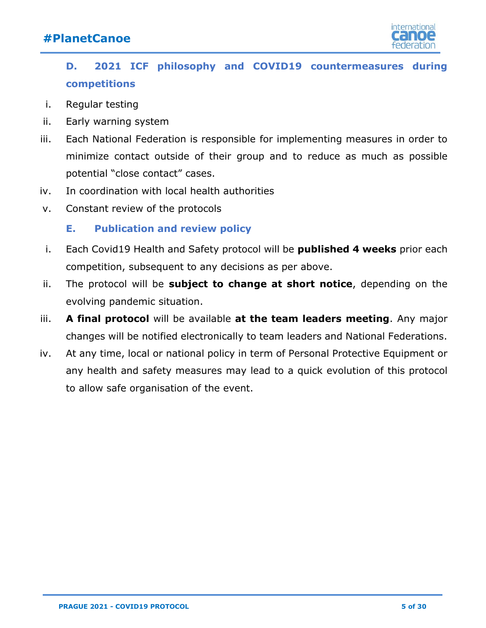

## <span id="page-4-0"></span>**D. 2021 ICF philosophy and COVID19 countermeasures during competitions**

- i. Regular testing
- ii. Early warning system
- iii. Each National Federation is responsible for implementing measures in order to minimize contact outside of their group and to reduce as much as possible potential "close contact" cases.
- iv. In coordination with local health authorities
- <span id="page-4-1"></span>v. Constant review of the protocols

#### **E. Publication and review policy**

- i. Each Covid19 Health and Safety protocol will be **published 4 weeks** prior each competition, subsequent to any decisions as per above.
- ii. The protocol will be **subject to change at short notice**, depending on the evolving pandemic situation.
- iii. **A final protocol** will be available **at the team leaders meeting**. Any major changes will be notified electronically to team leaders and National Federations.
- iv. At any time, local or national policy in term of Personal Protective Equipment or any health and safety measures may lead to a quick evolution of this protocol to allow safe organisation of the event.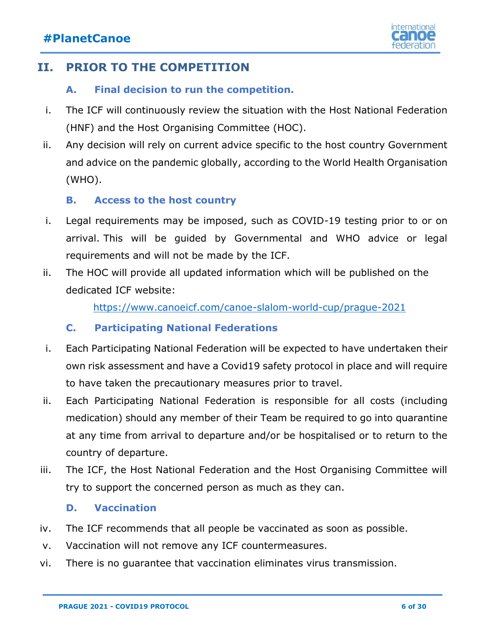

### <span id="page-5-1"></span><span id="page-5-0"></span>**II. PRIOR TO THE COMPETITION**

#### **A. Final decision to run the competition.**

- i. The ICF will continuously review the situation with the Host National Federation (HNF) and the Host Organising Committee (HOC).
- ii. Any decision will rely on current advice specific to the host country Government and advice on the pandemic globally, according to the World Health Organisation (WHO).

#### **B. Access to the host country**

- <span id="page-5-2"></span>i. Legal requirements may be imposed, such as COVID-19 testing prior to or on arrival. This will be guided by Governmental and WHO advice or legal requirements and will not be made by the ICF.
- ii. The HOC will provide all updated information which will be published on the dedicated ICF website:

<https://www.canoeicf.com/canoe-slalom-world-cup/prague-2021>

#### **C. Participating National Federations**

- <span id="page-5-3"></span>i. Each Participating National Federation will be expected to have undertaken their own risk assessment and have a Covid19 safety protocol in place and will require to have taken the precautionary measures prior to travel.
- ii. Each Participating National Federation is responsible for all costs (including medication) should any member of their Team be required to go into quarantine at any time from arrival to departure and/or be hospitalised or to return to the country of departure.
- iii. The ICF, the Host National Federation and the Host Organising Committee will try to support the concerned person as much as they can.

#### **D. Vaccination**

- <span id="page-5-4"></span>iv. The ICF recommends that all people be vaccinated as soon as possible.
- v. Vaccination will not remove any ICF countermeasures.
- vi. There is no guarantee that vaccination eliminates virus transmission.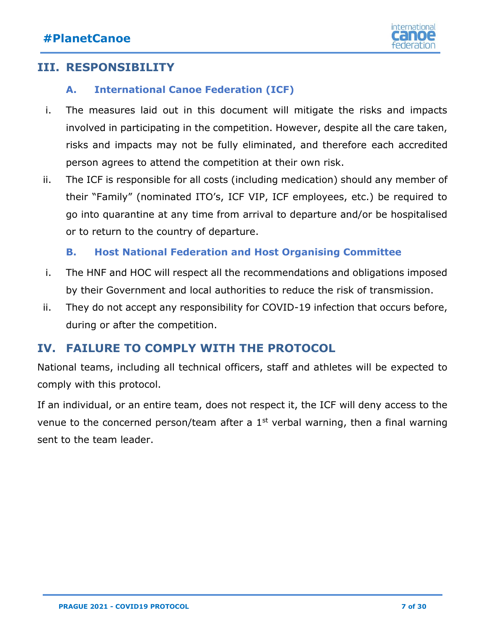

### <span id="page-6-1"></span><span id="page-6-0"></span>**III. RESPONSIBILITY**

#### **A. International Canoe Federation (ICF)**

- i. The measures laid out in this document will mitigate the risks and impacts involved in participating in the competition. However, despite all the care taken, risks and impacts may not be fully eliminated, and therefore each accredited person agrees to attend the competition at their own risk.
- ii. The ICF is responsible for all costs (including medication) should any member of their "Family" (nominated ITO's, ICF VIP, ICF employees, etc.) be required to go into quarantine at any time from arrival to departure and/or be hospitalised or to return to the country of departure.

#### **B. Host National Federation and Host Organising Committee**

- <span id="page-6-2"></span>i. The HNF and HOC will respect all the recommendations and obligations imposed by their Government and local authorities to reduce the risk of transmission.
- ii. They do not accept any responsibility for COVID-19 infection that occurs before, during or after the competition.

### <span id="page-6-3"></span>**IV. FAILURE TO COMPLY WITH THE PROTOCOL**

National teams, including all technical officers, staff and athletes will be expected to comply with this protocol.

<span id="page-6-4"></span>If an individual, or an entire team, does not respect it, the ICF will deny access to the venue to the concerned person/team after a  $1<sup>st</sup>$  verbal warning, then a final warning sent to the team leader.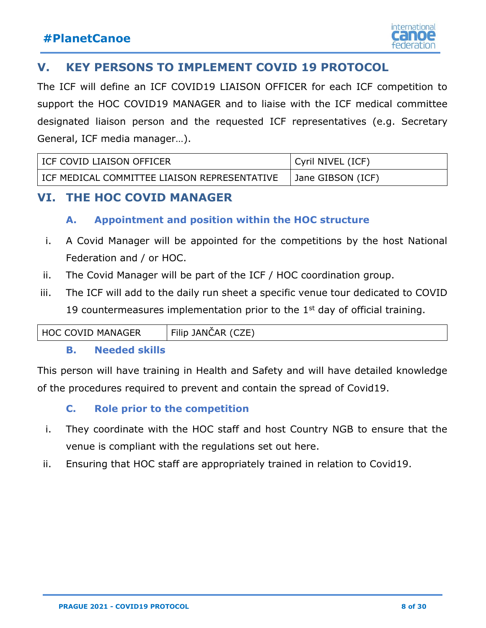### **V. KEY PERSONS TO IMPLEMENT COVID 19 PROTOCOL**

The ICF will define an ICF COVID19 LIAISON OFFICER for each ICF competition to support the HOC COVID19 MANAGER and to liaise with the ICF medical committee designated liaison person and the requested ICF representatives (e.g. Secretary General, ICF media manager…).

| I ICF COVID LIAISON OFFICER                  | Cyril NIVEL (ICF) |
|----------------------------------------------|-------------------|
| ICF MEDICAL COMMITTEE LIAISON REPRESENTATIVE | Jane GIBSON (ICF) |

### <span id="page-7-1"></span><span id="page-7-0"></span>**VI. THE HOC COVID MANAGER**

#### **A. Appointment and position within the HOC structure**

- i. A Covid Manager will be appointed for the competitions by the host National Federation and / or HOC.
- ii. The Covid Manager will be part of the ICF / HOC coordination group.
- iii. The ICF will add to the daily run sheet a specific venue tour dedicated to COVID 19 countermeasures implementation prior to the  $1<sup>st</sup>$  day of official training.

<span id="page-7-2"></span>

| ് HOC<br>MANAGER<br>JVID<br>. | `7F`<br>_<br>ΔR<br>.ANC<br>.<br>FIIII |
|-------------------------------|---------------------------------------|
|                               |                                       |

#### **B. Needed skills**

This person will have training in Health and Safety and will have detailed knowledge of the procedures required to prevent and contain the spread of Covid19.

### **C. Role prior to the competition**

- <span id="page-7-3"></span>i. They coordinate with the HOC staff and host Country NGB to ensure that the venue is compliant with the regulations set out here.
- <span id="page-7-4"></span>ii. Ensuring that HOC staff are appropriately trained in relation to Covid19.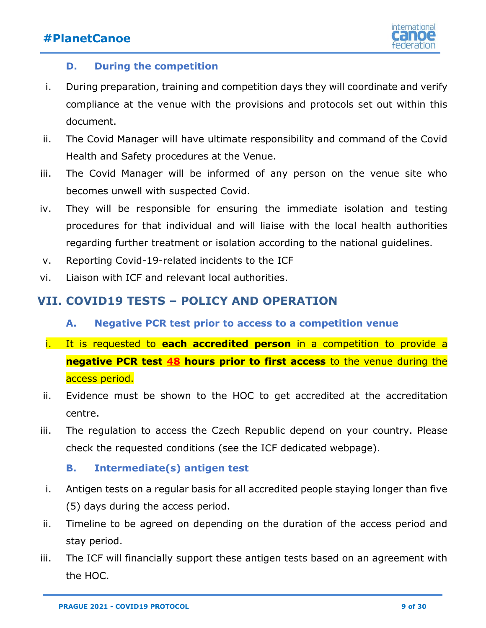

#### **D. During the competition**

- i. During preparation, training and competition days they will coordinate and verify compliance at the venue with the provisions and protocols set out within this document.
- ii. The Covid Manager will have ultimate responsibility and command of the Covid Health and Safety procedures at the Venue.
- iii. The Covid Manager will be informed of any person on the venue site who becomes unwell with suspected Covid.
- iv. They will be responsible for ensuring the immediate isolation and testing procedures for that individual and will liaise with the local health authorities regarding further treatment or isolation according to the national guidelines.
- v. Reporting Covid-19-related incidents to the ICF
- vi. Liaison with ICF and relevant local authorities.

#### <span id="page-8-1"></span><span id="page-8-0"></span>**VII. COVID19 TESTS – POLICY AND OPERATION**

- **A. Negative PCR test prior to access to a competition venue**
- i. It is requested to **each accredited person** in a competition to provide a **negative PCR test 48 hours prior to first access** to the venue during the access period.
- ii. Evidence must be shown to the HOC to get accredited at the accreditation centre.
- iii. The regulation to access the Czech Republic depend on your country. Please check the requested conditions (see the ICF dedicated webpage).

#### **B. Intermediate(s) antigen test**

- <span id="page-8-2"></span>i. Antigen tests on a regular basis for all accredited people staying longer than five (5) days during the access period.
- ii. Timeline to be agreed on depending on the duration of the access period and stay period.
- iii. The ICF will financially support these antigen tests based on an agreement with the HOC.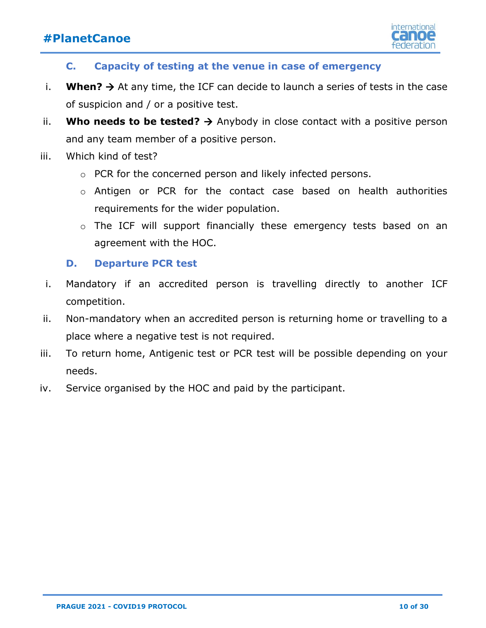

#### **C. Capacity of testing at the venue in case of emergency**

- <span id="page-9-0"></span>i. **When?**  $\rightarrow$  At any time, the ICF can decide to launch a series of tests in the case of suspicion and / or a positive test.
- ii. **Who needs to be tested?**  $\rightarrow$  Anybody in close contact with a positive person and any team member of a positive person.
- iii. Which kind of test?
	- o PCR for the concerned person and likely infected persons.
	- o Antigen or PCR for the contact case based on health authorities requirements for the wider population.
	- o The ICF will support financially these emergency tests based on an agreement with the HOC.

#### **D. Departure PCR test**

- <span id="page-9-1"></span>i. Mandatory if an accredited person is travelling directly to another ICF competition.
- ii. Non-mandatory when an accredited person is returning home or travelling to a place where a negative test is not required.
- iii. To return home, Antigenic test or PCR test will be possible depending on your needs.
- <span id="page-9-2"></span>iv. Service organised by the HOC and paid by the participant.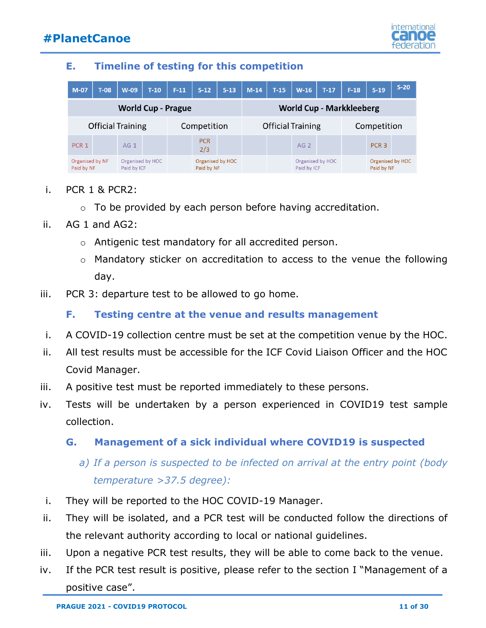

#### **E. Timeline of testing for this competition**

| $M-07$                        | $T-08$ | $W-09$                          | $T-10$      | $F-11$ | $S-12$                         | $S-13$ | $M-14$ | $T-15$                          | $W-16$                          | $T-17$ | $F-18$ | $S-19$                         | $S-20$ |
|-------------------------------|--------|---------------------------------|-------------|--------|--------------------------------|--------|--------|---------------------------------|---------------------------------|--------|--------|--------------------------------|--------|
| <b>World Cup - Prague</b>     |        |                                 |             |        |                                |        |        | <b>World Cup - Markkleeberg</b> |                                 |        |        |                                |        |
| <b>Official Training</b>      |        |                                 | Competition |        | <b>Official Training</b>       |        |        | Competition                     |                                 |        |        |                                |        |
| PCR <sub>1</sub>              |        | AG <sub>1</sub>                 |             |        | <b>PCR</b><br>2/3              |        |        |                                 | AG <sub>2</sub>                 |        |        | PCR <sub>3</sub>               |        |
| Organised by NF<br>Paid by NF |        | Organised by HOC<br>Paid by ICF |             |        | Organised by HOC<br>Paid by NF |        |        |                                 | Organised by HOC<br>Paid by ICF |        |        | Organised by HOC<br>Paid by NF |        |

- i. PCR 1 & PCR2:
	- o To be provided by each person before having accreditation.
- ii. AG 1 and AG2:
	- o Antigenic test mandatory for all accredited person.
	- o Mandatory sticker on accreditation to access to the venue the following day.
- <span id="page-10-0"></span>iii. PCR 3: departure test to be allowed to go home.

#### **F. Testing centre at the venue and results management**

- i. A COVID-19 collection centre must be set at the competition venue by the HOC.
- ii. All test results must be accessible for the ICF Covid Liaison Officer and the HOC Covid Manager.
- iii. A positive test must be reported immediately to these persons.
- iv. Tests will be undertaken by a person experienced in COVID19 test sample collection.

### <span id="page-10-1"></span>**G. Management of a sick individual where COVID19 is suspected**

- *a) If a person is suspected to be infected on arrival at the entry point (body temperature >37.5 degree):*
- i. They will be reported to the HOC COVID-19 Manager.
- ii. They will be isolated, and a PCR test will be conducted follow the directions of the relevant authority according to local or national guidelines.
- iii. Upon a negative PCR test results, they will be able to come back to the venue.
- iv. If the PCR test result is positive, please refer to the section I "Management of a positive case".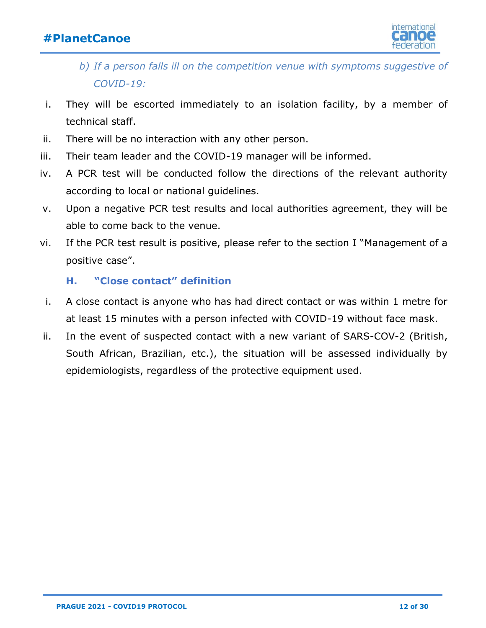

- *b) If a person falls ill on the competition venue with symptoms suggestive of COVID-19:*
- i. They will be escorted immediately to an isolation facility, by a member of technical staff.
- ii. There will be no interaction with any other person.
- iii. Their team leader and the COVID-19 manager will be informed.
- iv. A PCR test will be conducted follow the directions of the relevant authority according to local or national guidelines.
- v. Upon a negative PCR test results and local authorities agreement, they will be able to come back to the venue.
- vi. If the PCR test result is positive, please refer to the section I "Management of a positive case".

#### **H. "Close contact" definition**

- <span id="page-11-0"></span>i. A close contact is anyone who has had direct contact or was within 1 metre for at least 15 minutes with a person infected with COVID-19 without face mask.
- ii. In the event of suspected contact with a new variant of SARS-COV-2 (British, South African, Brazilian, etc.), the situation will be assessed individually by epidemiologists, regardless of the protective equipment used.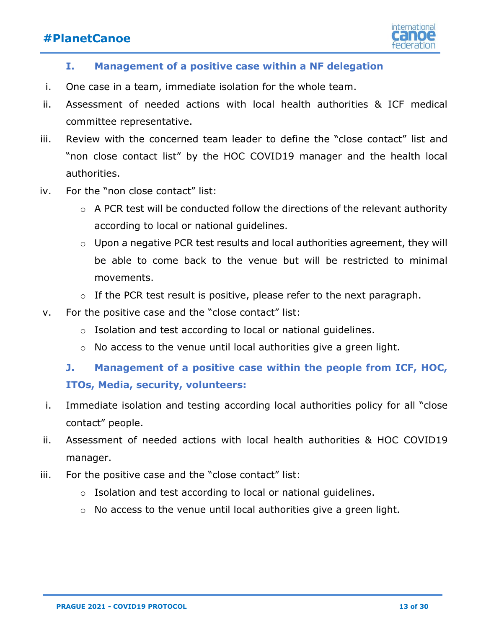

#### **I. Management of a positive case within a NF delegation**

- <span id="page-12-0"></span>i. One case in a team, immediate isolation for the whole team.
- ii. Assessment of needed actions with local health authorities & ICF medical committee representative.
- iii. Review with the concerned team leader to define the "close contact" list and "non close contact list" by the HOC COVID19 manager and the health local authorities.
- iv. For the "non close contact" list:
	- $\circ$  A PCR test will be conducted follow the directions of the relevant authority according to local or national guidelines.
	- o Upon a negative PCR test results and local authorities agreement, they will be able to come back to the venue but will be restricted to minimal movements.
	- $\circ$  If the PCR test result is positive, please refer to the next paragraph.
- v. For the positive case and the "close contact" list:
	- o Isolation and test according to local or national guidelines.
	- o No access to the venue until local authorities give a green light.

### <span id="page-12-1"></span>**J. Management of a positive case within the people from ICF, HOC, ITOs, Media, security, volunteers:**

- i. Immediate isolation and testing according local authorities policy for all "close contact" people.
- ii. Assessment of needed actions with local health authorities & HOC COVID19 manager.
- iii. For the positive case and the "close contact" list:
	- o Isolation and test according to local or national guidelines.
	- o No access to the venue until local authorities give a green light.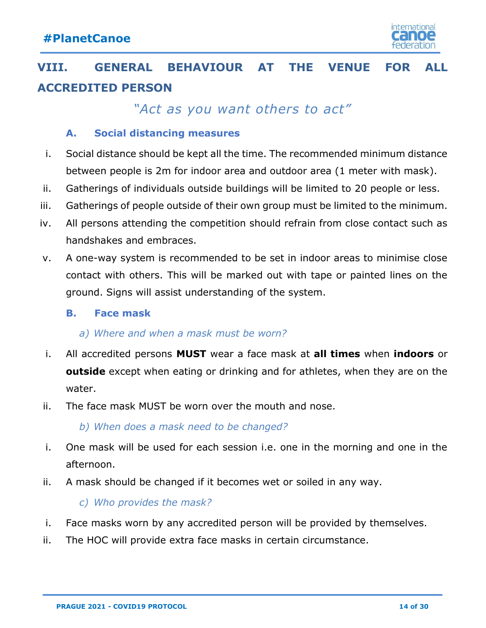

# <span id="page-13-0"></span>**VIII. GENERAL BEHAVIOUR AT THE VENUE FOR ALL ACCREDITED PERSON**

*"Act as you want others to act"*

#### **A. Social distancing measures**

- <span id="page-13-1"></span>i. Social distance should be kept all the time. The recommended minimum distance between people is 2m for indoor area and outdoor area (1 meter with mask).
- ii. Gatherings of individuals outside buildings will be limited to 20 people or less.
- iii. Gatherings of people outside of their own group must be limited to the minimum.
- iv. All persons attending the competition should refrain from close contact such as handshakes and embraces.
- v. A one-way system is recommended to be set in indoor areas to minimise close contact with others. This will be marked out with tape or painted lines on the ground. Signs will assist understanding of the system.

#### <span id="page-13-2"></span>**B. Face mask**

#### *a) Where and when a mask must be worn?*

- i. All accredited persons **MUST** wear a face mask at **all times** when **indoors** or **outside** except when eating or drinking and for athletes, when they are on the water.
- ii. The face mask MUST be worn over the mouth and nose.

*b) When does a mask need to be changed?*

- i. One mask will be used for each session i.e. one in the morning and one in the afternoon.
- ii. A mask should be changed if it becomes wet or soiled in any way.

#### *c) Who provides the mask?*

- i. Face masks worn by any accredited person will be provided by themselves.
- ii. The HOC will provide extra face masks in certain circumstance.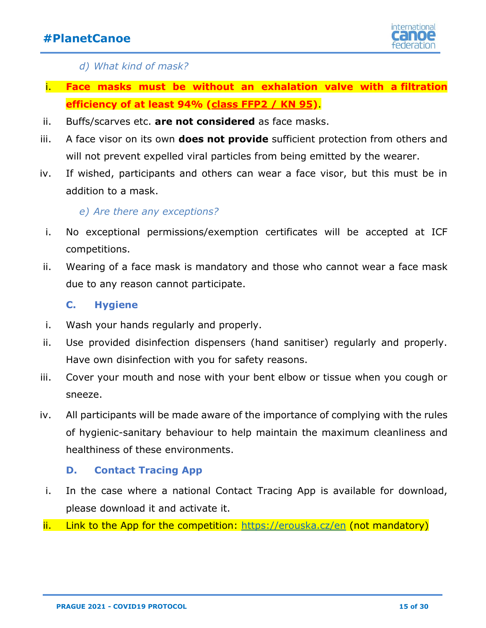

*d) What kind of mask?*

- i. **Face masks must be without an exhalation valve with a filtration efficiency of at least 94% (class FFP2 / KN 95)**.
- ii. Buffs/scarves etc. **are not considered** as face masks.
- iii. A face visor on its own **does not provide** sufficient protection from others and will not prevent expelled viral particles from being emitted by the wearer.
- iv. If wished, participants and others can wear a face visor, but this must be in addition to a mask.

#### *e) Are there any exceptions?*

- i. No exceptional permissions/exemption certificates will be accepted at ICF competitions.
- ii. Wearing of a face mask is mandatory and those who cannot wear a face mask due to any reason cannot participate.

#### **C. Hygiene**

- <span id="page-14-0"></span>i. Wash your hands regularly and properly.
- ii. Use provided disinfection dispensers (hand sanitiser) regularly and properly. Have own disinfection with you for safety reasons.
- iii. Cover your mouth and nose with your bent elbow or tissue when you cough or sneeze.
- iv. All participants will be made aware of the importance of complying with the rules of hygienic-sanitary behaviour to help maintain the maximum cleanliness and healthiness of these environments.

#### **D. Contact Tracing App**

- <span id="page-14-1"></span>i. In the case where a national Contact Tracing App is available for download, please download it and activate it.
- ii. Link to the App for the competition:<https://erouska.cz/en> (not mandatory)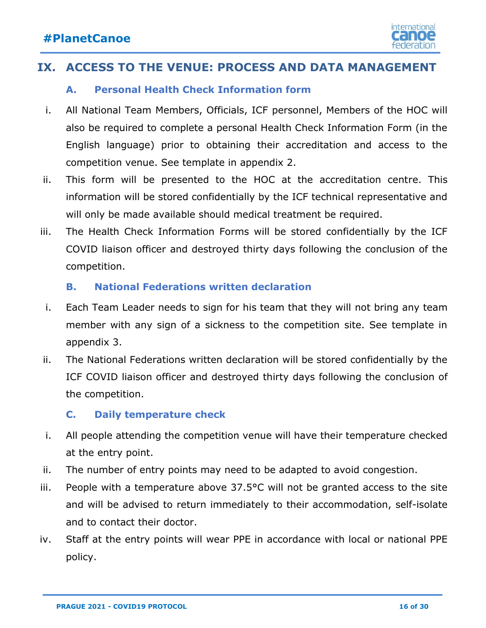

### <span id="page-15-1"></span><span id="page-15-0"></span>**IX. ACCESS TO THE VENUE: PROCESS AND DATA MANAGEMENT**

#### **A. Personal Health Check Information form**

- i. All National Team Members, Officials, ICF personnel, Members of the HOC will also be required to complete a personal Health Check Information Form (in the English language) prior to obtaining their accreditation and access to the competition venue. See template in appendix 2.
- ii. This form will be presented to the HOC at the accreditation centre. This information will be stored confidentially by the ICF technical representative and will only be made available should medical treatment be required.
- iii. The Health Check Information Forms will be stored confidentially by the ICF COVID liaison officer and destroyed thirty days following the conclusion of the competition.

#### **B. National Federations written declaration**

- <span id="page-15-2"></span>i. Each Team Leader needs to sign for his team that they will not bring any team member with any sign of a sickness to the competition site. See template in appendix 3.
- ii. The National Federations written declaration will be stored confidentially by the ICF COVID liaison officer and destroyed thirty days following the conclusion of the competition.

#### **C. Daily temperature check**

- <span id="page-15-3"></span>i. All people attending the competition venue will have their temperature checked at the entry point.
- ii. The number of entry points may need to be adapted to avoid congestion.
- iii. People with a temperature above  $37.5$ °C will not be granted access to the site and will be advised to return immediately to their accommodation, self-isolate and to contact their doctor.
- iv. Staff at the entry points will wear PPE in accordance with local or national PPE policy.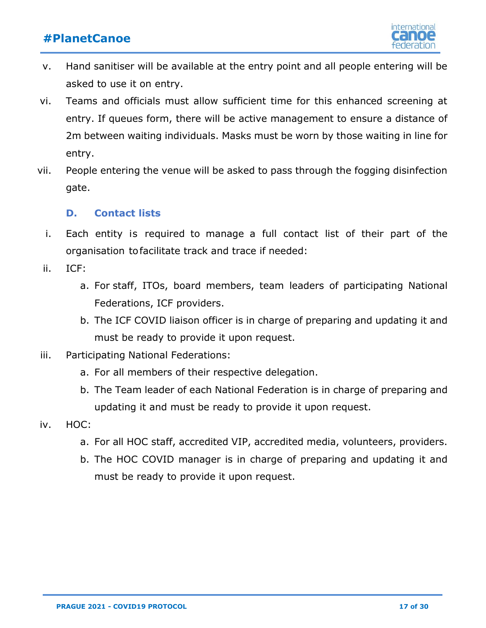

- v. Hand sanitiser will be available at the entry point and all people entering will be asked to use it on entry.
- vi. Teams and officials must allow sufficient time for this enhanced screening at entry. If queues form, there will be active management to ensure a distance of 2m between waiting individuals. Masks must be worn by those waiting in line for entry.
- vii. People entering the venue will be asked to pass through the fogging disinfection gate.

#### **D. Contact lists**

- <span id="page-16-0"></span>i. Each entity is required to manage a full contact list of their part of the organisation to facilitate track and trace if needed:
- ii. ICF:
	- a. For staff, ITOs, board members, team leaders of participating National Federations, ICF providers.
	- b. The ICF COVID liaison officer is in charge of preparing and updating it and must be ready to provide it upon request.
- iii. Participating National Federations:
	- a. For all members of their respective delegation.
	- b. The Team leader of each National Federation is in charge of preparing and updating it and must be ready to provide it upon request.
- iv. HOC:
	- a. For all HOC staff, accredited VIP, accredited media, volunteers, providers.
	- b. The HOC COVID manager is in charge of preparing and updating it and must be ready to provide it upon request.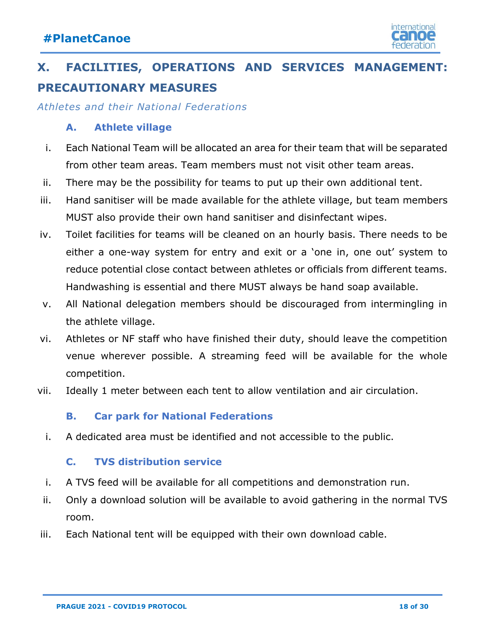

# <span id="page-17-0"></span>**X. FACILITIES, OPERATIONS AND SERVICES MANAGEMENT: PRECAUTIONARY MEASURES**

<span id="page-17-1"></span>*Athletes and their National Federations*

#### **A. Athlete village**

- i. Each National Team will be allocated an area for their team that will be separated from other team areas. Team members must not visit other team areas.
- ii. There may be the possibility for teams to put up their own additional tent.
- iii. Hand sanitiser will be made available for the athlete village, but team members MUST also provide their own hand sanitiser and disinfectant wipes.
- iv. Toilet facilities for teams will be cleaned on an hourly basis. There needs to be either a one-way system for entry and exit or a 'one in, one out' system to reduce potential close contact between athletes or officials from different teams. Handwashing is essential and there MUST always be hand soap available.
- v. All National delegation members should be discouraged from intermingling in the athlete village.
- vi. Athletes or NF staff who have finished their duty, should leave the competition venue wherever possible. A streaming feed will be available for the whole competition.
- vii. Ideally 1 meter between each tent to allow ventilation and air circulation.

#### **B. Car park for National Federations**

<span id="page-17-2"></span>i. A dedicated area must be identified and not accessible to the public.

#### **C. TVS distribution service**

- <span id="page-17-3"></span>i. A TVS feed will be available for all competitions and demonstration run.
- ii. Only a download solution will be available to avoid gathering in the normal TVS room.
- <span id="page-17-4"></span>iii. Each National tent will be equipped with their own download cable.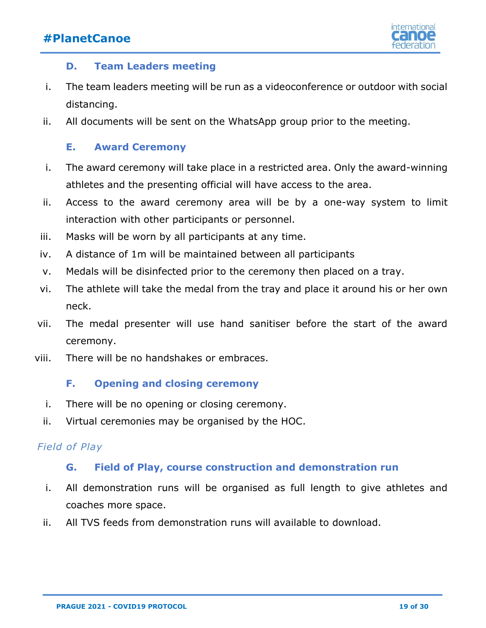

#### **D. Team Leaders meeting**

- i. The team leaders meeting will be run as a videoconference or outdoor with social distancing.
- ii. All documents will be sent on the WhatsApp group prior to the meeting.

#### **E. Award Ceremony**

- <span id="page-18-0"></span>i. The award ceremony will take place in a restricted area. Only the award-winning athletes and the presenting official will have access to the area.
- ii. Access to the award ceremony area will be by a one-way system to limit interaction with other participants or personnel.
- iii. Masks will be worn by all participants at any time.
- iv. A distance of 1m will be maintained between all participants
- v. Medals will be disinfected prior to the ceremony then placed on a tray.
- vi. The athlete will take the medal from the tray and place it around his or her own neck.
- vii. The medal presenter will use hand sanitiser before the start of the award ceremony.
- viii. There will be no handshakes or embraces.

#### **F. Opening and closing ceremony**

- <span id="page-18-1"></span>i. There will be no opening or closing ceremony.
- ii. Virtual ceremonies may be organised by the HOC.

#### <span id="page-18-2"></span>*Field of Play*

#### **G. Field of Play, course construction and demonstration run**

- i. All demonstration runs will be organised as full length to give athletes and coaches more space.
- ii. All TVS feeds from demonstration runs will available to download.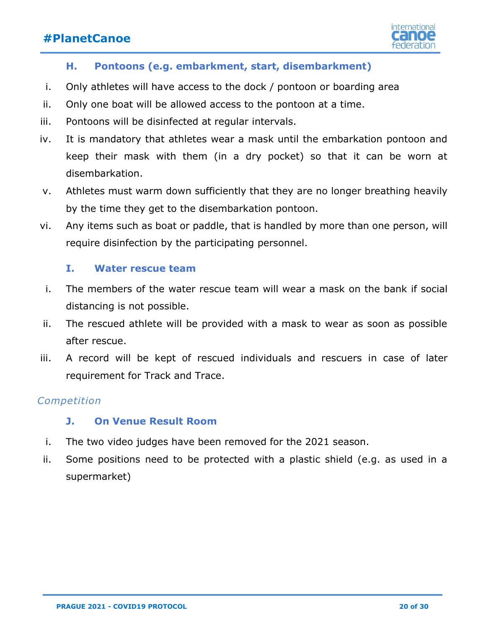

#### **H. Pontoons (e.g. embarkment, start, disembarkment)**

- <span id="page-19-0"></span>i. Only athletes will have access to the dock / pontoon or boarding area
- ii. Only one boat will be allowed access to the pontoon at a time.
- iii. Pontoons will be disinfected at regular intervals.
- iv. It is mandatory that athletes wear a mask until the embarkation pontoon and keep their mask with them (in a dry pocket) so that it can be worn at disembarkation.
- v. Athletes must warm down sufficiently that they are no longer breathing heavily by the time they get to the disembarkation pontoon.
- vi. Any items such as boat or paddle, that is handled by more than one person, will require disinfection by the participating personnel.

#### **I. Water rescue team**

- <span id="page-19-1"></span>i. The members of the water rescue team will wear a mask on the bank if social distancing is not possible.
- ii. The rescued athlete will be provided with a mask to wear as soon as possible after rescue.
- iii. A record will be kept of rescued individuals and rescuers in case of later requirement for Track and Trace.

#### <span id="page-19-2"></span>*Competition*

#### **J. On Venue Result Room**

- i. The two video judges have been removed for the 2021 season.
- ii. Some positions need to be protected with a plastic shield (e.g. as used in a supermarket)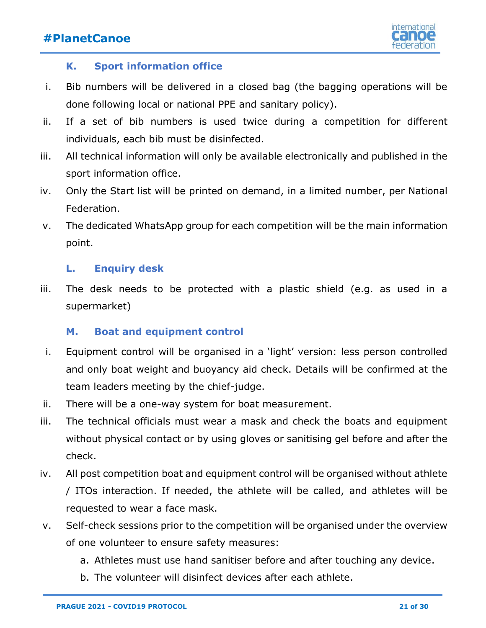

#### **K. Sport information office**

- <span id="page-20-0"></span>i. Bib numbers will be delivered in a closed bag (the bagging operations will be done following local or national PPE and sanitary policy).
- ii. If a set of bib numbers is used twice during a competition for different individuals, each bib must be disinfected.
- iii. All technical information will only be available electronically and published in the sport information office.
- iv. Only the Start list will be printed on demand, in a limited number, per National Federation.
- v. The dedicated WhatsApp group for each competition will be the main information point.

#### **L. Enquiry desk**

<span id="page-20-1"></span>iii. The desk needs to be protected with a plastic shield (e.g. as used in a supermarket)

#### **M. Boat and equipment control**

- <span id="page-20-2"></span>i. Equipment control will be organised in a 'light' version: less person controlled and only boat weight and buoyancy aid check. Details will be confirmed at the team leaders meeting by the chief-judge.
- ii. There will be a one-way system for boat measurement.
- iii. The technical officials must wear a mask and check the boats and equipment without physical contact or by using gloves or sanitising gel before and after the check.
- iv. All post competition boat and equipment control will be organised without athlete / ITOs interaction. If needed, the athlete will be called, and athletes will be requested to wear a face mask.
- v. Self-check sessions prior to the competition will be organised under the overview of one volunteer to ensure safety measures:
	- a. Athletes must use hand sanitiser before and after touching any device.
	- b. The volunteer will disinfect devices after each athlete.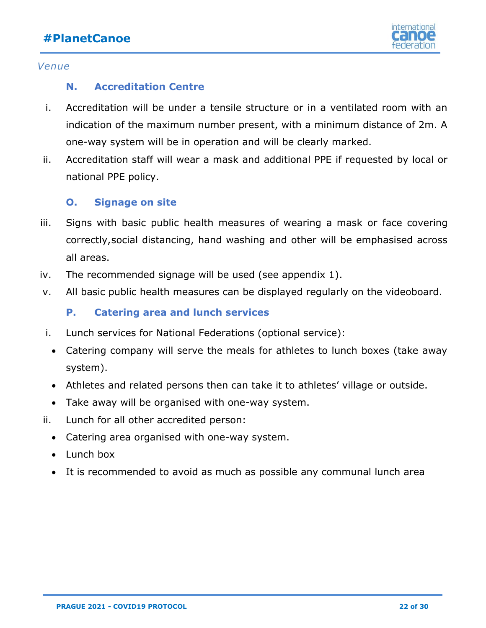

#### <span id="page-21-0"></span>*Venue*

#### **N. Accreditation Centre**

- i. Accreditation will be under a tensile structure or in a ventilated room with an indication of the maximum number present, with a minimum distance of 2m. A one-way system will be in operation and will be clearly marked.
- ii. Accreditation staff will wear a mask and additional PPE if requested by local or national PPE policy.

#### **O. Signage on site**

- <span id="page-21-1"></span>iii. Signs with basic public health measures of wearing a mask or face covering correctly,social distancing, hand washing and other will be emphasised across all areas.
- iv. The recommended signage will be used (see appendix 1).
- <span id="page-21-2"></span>v. All basic public health measures can be displayed regularly on the videoboard.

**P. Catering area and lunch services** 

- i. Lunch services for National Federations (optional service):
	- Catering company will serve the meals for athletes to lunch boxes (take away system).
	- Athletes and related persons then can take it to athletes' village or outside.
	- Take away will be organised with one-way system.
- ii. Lunch for all other accredited person:
	- Catering area organised with one-way system.
	- Lunch box
	- It is recommended to avoid as much as possible any communal lunch area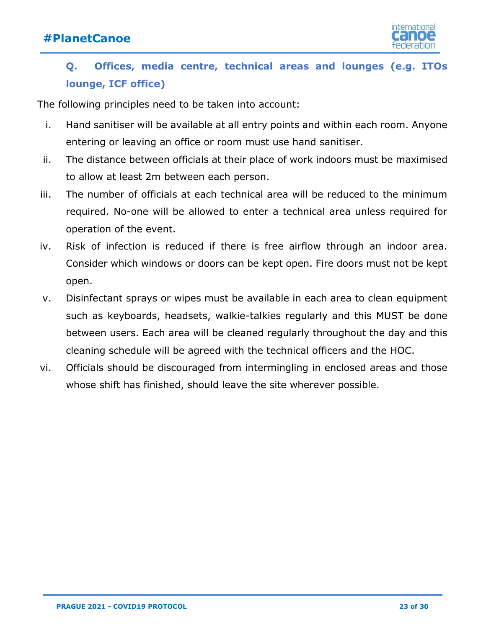

### <span id="page-22-0"></span>**Q. Offices, media centre, technical areas and lounges (e.g. ITOs lounge, ICF office)**

The following principles need to be taken into account:

- i. Hand sanitiser will be available at all entry points and within each room. Anyone entering or leaving an office or room must use hand sanitiser.
- ii. The distance between officials at their place of work indoors must be maximised to allow at least 2m between each person.
- iii. The number of officials at each technical area will be reduced to the minimum required. No-one will be allowed to enter a technical area unless required for operation of the event.
- iv. Risk of infection is reduced if there is free airflow through an indoor area. Consider which windows or doors can be kept open. Fire doors must not be kept open.
- v. Disinfectant sprays or wipes must be available in each area to clean equipment such as keyboards, headsets, walkie-talkies regularly and this MUST be done between users. Each area will be cleaned regularly throughout the day and this cleaning schedule will be agreed with the technical officers and the HOC.
- vi. Officials should be discouraged from intermingling in enclosed areas and those whose shift has finished, should leave the site wherever possible.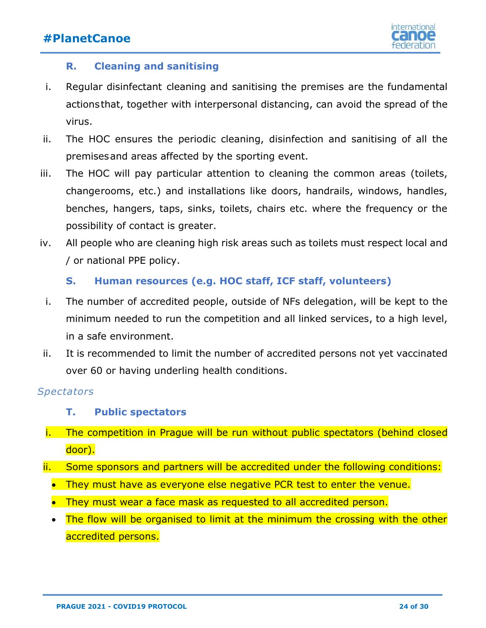

#### **R. Cleaning and sanitising**

- <span id="page-23-0"></span>i. Regular disinfectant cleaning and sanitising the premises are the fundamental actions that, together with interpersonal distancing, can avoid the spread of the virus.
- ii. The HOC ensures the periodic cleaning, disinfection and sanitising of all the premises and areas affected by the sporting event.
- iii. The HOC will pay particular attention to cleaning the common areas (toilets, changerooms, etc.) and installations like doors, handrails, windows, handles, benches, hangers, taps, sinks, toilets, chairs etc. where the frequency or the possibility of contact is greater.
- iv. All people who are cleaning high risk areas such as toilets must respect local and / or national PPE policy.

#### **S. Human resources (e.g. HOC staff, ICF staff, volunteers)**

- <span id="page-23-1"></span>i. The number of accredited people, outside of NFs delegation, will be kept to the minimum needed to run the competition and all linked services, to a high level, in a safe environment.
- ii. It is recommended to limit the number of accredited persons not yet vaccinated over 60 or having underling health conditions.

### <span id="page-23-2"></span>*Spectators*

#### **T. Public spectators**

- i. The competition in Prague will be run without public spectators (behind closed door).
- ii. Some sponsors and partners will be accredited under the following conditions:
	- They must have as everyone else negative PCR test to enter the venue.
	- They must wear a face mask as requested to all accredited person.
	- The flow will be organised to limit at the minimum the crossing with the other accredited persons.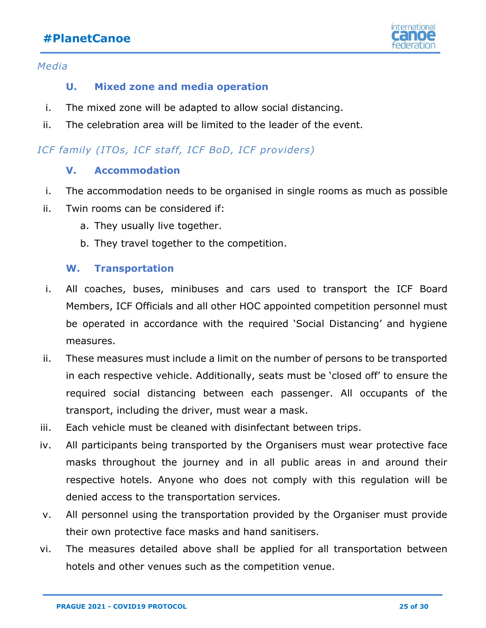

#### <span id="page-24-0"></span>*Media*

#### **U. Mixed zone and media operation**

- i. The mixed zone will be adapted to allow social distancing.
- ii. The celebration area will be limited to the leader of the event.

#### <span id="page-24-1"></span>*ICF family (ITOs, ICF staff, ICF BoD, ICF providers)*

#### **V. Accommodation**

- i. The accommodation needs to be organised in single rooms as much as possible
- ii. Twin rooms can be considered if:
	- a. They usually live together.
	- b. They travel together to the competition.

#### **W. Transportation**

- <span id="page-24-2"></span>i. All coaches, buses, minibuses and cars used to transport the ICF Board Members, ICF Officials and all other HOC appointed competition personnel must be operated in accordance with the required 'Social Distancing' and hygiene measures.
- ii. These measures must include a limit on the number of persons to be transported in each respective vehicle. Additionally, seats must be 'closed off' to ensure the required social distancing between each passenger. All occupants of the transport, including the driver, must wear a mask.
- iii. Each vehicle must be cleaned with disinfectant between trips.
- iv. All participants being transported by the Organisers must wear protective face masks throughout the journey and in all public areas in and around their respective hotels. Anyone who does not comply with this regulation will be denied access to the transportation services.
- v. All personnel using the transportation provided by the Organiser must provide their own protective face masks and hand sanitisers.
- vi. The measures detailed above shall be applied for all transportation between hotels and other venues such as the competition venue.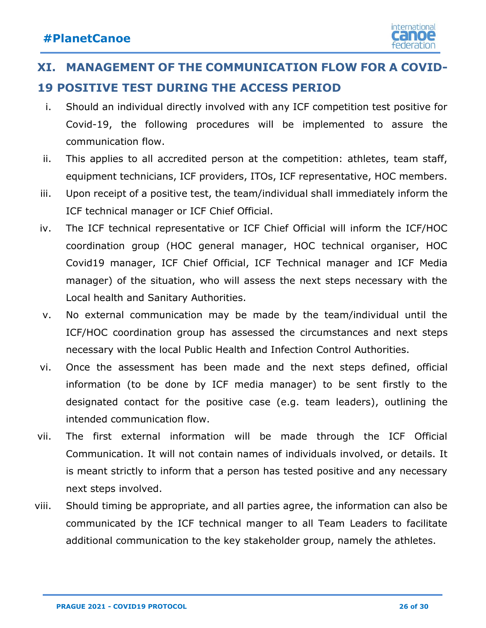

# <span id="page-25-0"></span>**XI. MANAGEMENT OF THE COMMUNICATION FLOW FOR A COVID-19 POSITIVE TEST DURING THE ACCESS PERIOD**

- i. Should an individual directly involved with any ICF competition test positive for Covid-19, the following procedures will be implemented to assure the communication flow.
- ii. This applies to all accredited person at the competition: athletes, team staff, equipment technicians, ICF providers, ITOs, ICF representative, HOC members.
- iii. Upon receipt of a positive test, the team/individual shall immediately inform the ICF technical manager or ICF Chief Official.
- iv. The ICF technical representative or ICF Chief Official will inform the ICF/HOC coordination group (HOC general manager, HOC technical organiser, HOC Covid19 manager, ICF Chief Official, ICF Technical manager and ICF Media manager) of the situation, who will assess the next steps necessary with the Local health and Sanitary Authorities.
- v. No external communication may be made by the team/individual until the ICF/HOC coordination group has assessed the circumstances and next steps necessary with the local Public Health and Infection Control Authorities.
- vi. Once the assessment has been made and the next steps defined, official information (to be done by ICF media manager) to be sent firstly to the designated contact for the positive case (e.g. team leaders), outlining the intended communication flow.
- vii. The first external information will be made through the ICF Official Communication. It will not contain names of individuals involved, or details. It is meant strictly to inform that a person has tested positive and any necessary next steps involved.
- viii. Should timing be appropriate, and all parties agree, the information can also be communicated by the ICF technical manger to all Team Leaders to facilitate additional communication to the key stakeholder group, namely the athletes.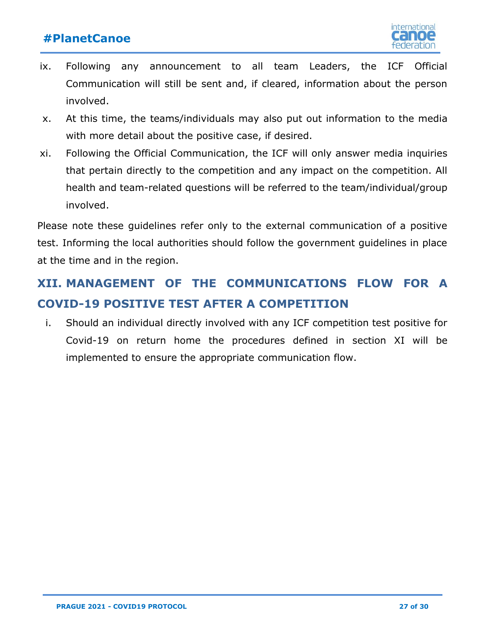

- ix. Following any announcement to all team Leaders, the ICF Official Communication will still be sent and, if cleared, information about the person involved.
- x. At this time, the teams/individuals may also put out information to the media with more detail about the positive case, if desired.
- xi. Following the Official Communication, the ICF will only answer media inquiries that pertain directly to the competition and any impact on the competition. All health and team-related questions will be referred to the team/individual/group involved.

Please note these guidelines refer only to the external communication of a positive test. Informing the local authorities should follow the government guidelines in place at the time and in the region.

# <span id="page-26-0"></span>**XII. MANAGEMENT OF THE COMMUNICATIONS FLOW FOR A COVID-19 POSITIVE TEST AFTER A COMPETITION**

i. Should an individual directly involved with any ICF competition test positive for Covid-19 on return home the procedures defined in section XI will be implemented to ensure the appropriate communication flow.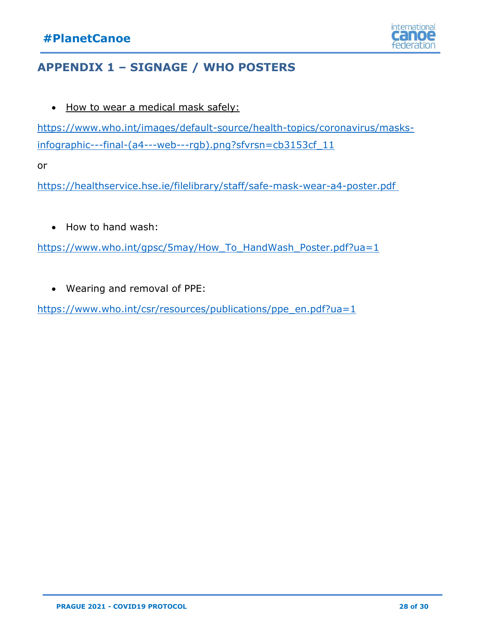

### <span id="page-27-0"></span>**APPENDIX 1 – SIGNAGE / WHO POSTERS**

• How to wear a medical mask safely:

[https://www.who.int/images/default-source/health-topics/coronavirus/masks](https://www.who.int/images/default-source/health-topics/coronavirus/masks-infographic---final-(a4---web---rgb).png?sfvrsn=cb3153cf_11)[infographic---final-\(a4---web---rgb\).png?sfvrsn=cb3153cf\\_11](https://www.who.int/images/default-source/health-topics/coronavirus/masks-infographic---final-(a4---web---rgb).png?sfvrsn=cb3153cf_11)

or

https://healthservice.hse.ie/filelibrary/staff/safe-mask-wear-a4-poster.pdf

• How to hand wash:

https://www.who.int/qpsc/5may/How\_To\_HandWash\_Poster.pdf?ua=1

• Wearing and removal of PPE:

[https://www.who.int/csr/resources/publications/ppe\\_en.pdf?ua=1](https://www.who.int/csr/resources/publications/ppe_en.pdf?ua=1)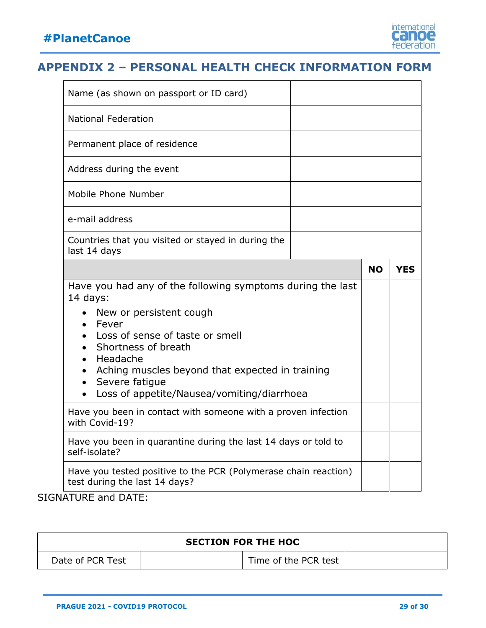

### <span id="page-28-0"></span>**APPENDIX 2 – PERSONAL HEALTH CHECK INFORMATION FORM**

| Name (as shown on passport or ID card)                                                                                                                                                                                                                                                                               |  |           |            |
|----------------------------------------------------------------------------------------------------------------------------------------------------------------------------------------------------------------------------------------------------------------------------------------------------------------------|--|-----------|------------|
| <b>National Federation</b>                                                                                                                                                                                                                                                                                           |  |           |            |
| Permanent place of residence                                                                                                                                                                                                                                                                                         |  |           |            |
| Address during the event                                                                                                                                                                                                                                                                                             |  |           |            |
| Mobile Phone Number                                                                                                                                                                                                                                                                                                  |  |           |            |
| e-mail address                                                                                                                                                                                                                                                                                                       |  |           |            |
| Countries that you visited or stayed in during the<br>last 14 days                                                                                                                                                                                                                                                   |  |           |            |
|                                                                                                                                                                                                                                                                                                                      |  | <b>NO</b> | <b>YES</b> |
| Have you had any of the following symptoms during the last<br>$14$ days:<br>New or persistent cough<br>Fever<br>$\bullet$<br>Loss of sense of taste or smell<br>Shortness of breath<br>Headache<br>• Aching muscles beyond that expected in training<br>Severe fatigue<br>Loss of appetite/Nausea/vomiting/diarrhoea |  |           |            |
| Have you been in contact with someone with a proven infection<br>with Covid-19?                                                                                                                                                                                                                                      |  |           |            |
| Have you been in quarantine during the last 14 days or told to<br>self-isolate?                                                                                                                                                                                                                                      |  |           |            |
|                                                                                                                                                                                                                                                                                                                      |  |           |            |

SIGNATURE and DATE:

| <b>SECTION FOR THE HOC</b> |  |                      |  |  |
|----------------------------|--|----------------------|--|--|
| Date of PCR Test           |  | Time of the PCR test |  |  |